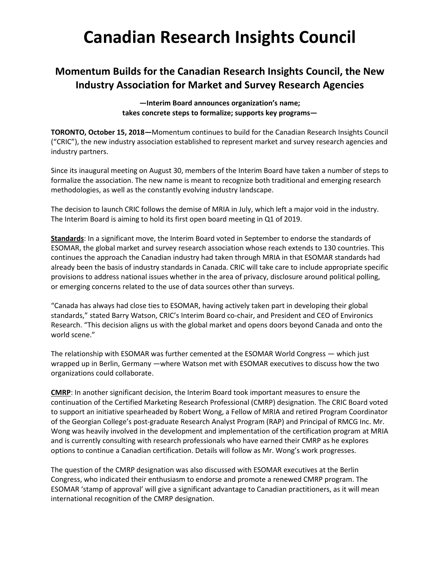## **Canadian Research Insights Council**

## **Momentum Builds for the Canadian Research Insights Council, the New Industry Association for Market and Survey Research Agencies**

**—Interim Board announces organization's name; takes concrete steps to formalize; supports key programs—**

**TORONTO, October 15, 2018—**Momentum continues to build for the Canadian Research Insights Council ("CRIC"), the new industry association established to represent market and survey research agencies and industry partners.

Since its inaugural meeting on August 30, members of the Interim Board have taken a number of steps to formalize the association. The new name is meant to recognize both traditional and emerging research methodologies, as well as the constantly evolving industry landscape.

The decision to launch CRIC follows the demise of MRIA in July, which left a major void in the industry. The Interim Board is aiming to hold its first open board meeting in Q1 of 2019.

**Standards**: In a significant move, the Interim Board voted in September to endorse the standards of ESOMAR, the global market and survey research association whose reach extends to 130 countries. This continues the approach the Canadian industry had taken through MRIA in that ESOMAR standards had already been the basis of industry standards in Canada. CRIC will take care to include appropriate specific provisions to address national issues whether in the area of privacy, disclosure around political polling, or emerging concerns related to the use of data sources other than surveys.

"Canada has always had close ties to ESOMAR, having actively taken part in developing their global standards," stated Barry Watson, CRIC's Interim Board co-chair, and President and CEO of Environics Research. "This decision aligns us with the global market and opens doors beyond Canada and onto the world scene."

The relationship with ESOMAR was further cemented at the ESOMAR World Congress — which just wrapped up in Berlin, Germany —where Watson met with ESOMAR executives to discuss how the two organizations could collaborate.

**CMRP**: In another significant decision, the Interim Board took important measures to ensure the continuation of the Certified Marketing Research Professional (CMRP) designation. The CRIC Board voted to support an initiative spearheaded by Robert Wong, a Fellow of MRIA and retired Program Coordinator of the Georgian College's post-graduate Research Analyst Program (RAP) and Principal of RMCG Inc. Mr. Wong was heavily involved in the development and implementation of the certification program at MRIA and is currently consulting with research professionals who have earned their CMRP as he explores options to continue a Canadian certification. Details will follow as Mr. Wong's work progresses.

The question of the CMRP designation was also discussed with ESOMAR executives at the Berlin Congress, who indicated their enthusiasm to endorse and promote a renewed CMRP program. The ESOMAR 'stamp of approval' will give a significant advantage to Canadian practitioners, as it will mean international recognition of the CMRP designation.